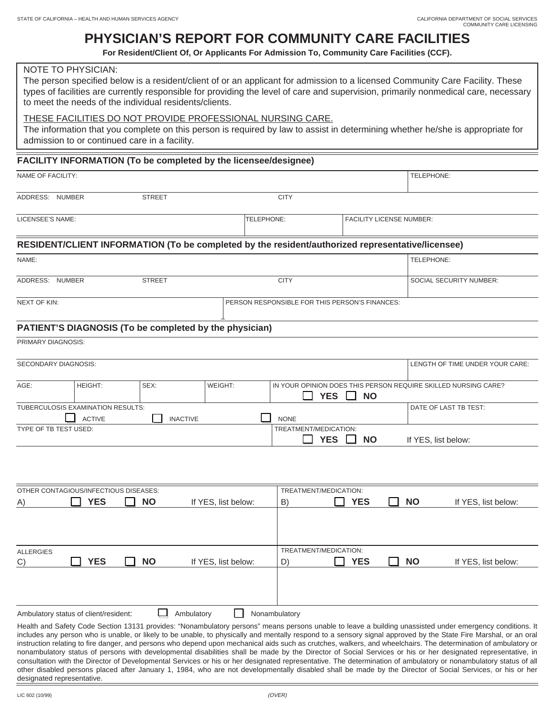# **PHYSICIAN'S REPORT FOR COMMUNITY CARE FACILITIES**

**For Resident/Client Of, Or Applicants For Admission To, Community Care Facilities (CCF).**

# NOTE TO PHYSICIAN:

The person specified below is a resident/client of or an applicant for admission to a licensed Community Care Facility. These types of facilities are currently responsible for providing the level of care and supervision, primarily nonmedical care, necessary to meet the needs of the individual residents/clients.

#### THESE FACILITIES DO NOT PROVIDE PROFESSIONAL NURSING CARE.

The information that you complete on this person is required by law to assist in determining whether he/she is appropriate for admission to or continued care in a facility.

## **FACILITY INFORMATION (To be completed by the licensee/designee)**

|  | NAME OF FACILITY: |
|--|-------------------|
|  |                   |

ADDRESS: NUMBER STREET STREET CITY

TELEPHONE:

FACILITY LICENSE NUMBER:

LICENSEE'S NAME: TELEPHONE:

### **RESIDENT/CLIENT INFORMATION (To be completed by the resident/authorized representative/licensee)**

| NAME:           |               |                                                | TELEPHONE:              |
|-----------------|---------------|------------------------------------------------|-------------------------|
| ADDRESS: NUMBER | <b>STREET</b> | CITY                                           | SOCIAL SECURITY NUMBER: |
| NEXT OF KIN:    |               | PERSON RESPONSIBLE FOR THIS PERSON'S FINANCES: |                         |

# **PATIENT'S DIAGNOSIS (To be completed by the physician)**

PRIMARY DIAGNOSIS:

| SECONDARY DIAGNOSIS:  |                                                    | LENGTH OF TIME UNDER YOUR CARE: |         |                                                                                           |                       |
|-----------------------|----------------------------------------------------|---------------------------------|---------|-------------------------------------------------------------------------------------------|-----------------------|
| AGE:                  | HEIGHT:                                            | SEX:                            | WEIGHT: | IN YOUR OPINION DOES THIS PERSON REQUIRE SKILLED NURSING CARE?<br><b>YES</b><br><b>NO</b> |                       |
|                       | TUBERCULOSIS EXAMINATION RESULTS:<br><b>ACTIVE</b> | <b>INACTIVE</b>                 |         | <b>NONE</b>                                                                               | DATE OF LAST TB TEST: |
| TYPE OF TB TEST USED: |                                                    |                                 |         | TREATMENT/MEDICATION:<br><b>YES</b><br><b>NO</b>                                          | If YES, list below:   |

| OTHER CONTAGIOUS/INFECTIOUS DISEASES: |                            |        |           |                     | TREATMENT/MEDICATION: |            |           |                     |
|---------------------------------------|----------------------------|--------|-----------|---------------------|-----------------------|------------|-----------|---------------------|
| A)                                    | <b>YES</b><br>$\mathbf{I}$ | $\sim$ | <b>NO</b> | If YES, list below: | B)                    | <b>YES</b> | <b>NO</b> | If YES, list below: |
|                                       |                            |        |           |                     |                       |            |           |                     |
|                                       |                            |        |           |                     |                       |            |           |                     |
|                                       |                            |        |           |                     |                       |            |           |                     |
| <b>ALLERGIES</b>                      |                            |        |           |                     | TREATMENT/MEDICATION: |            |           |                     |
|                                       |                            |        | <b>NO</b> |                     |                       |            |           |                     |
| C)                                    | <b>YES</b><br>$\mathsf{I}$ |        |           | If YES, list below: | D)                    | <b>YES</b> | <b>NO</b> | If YES, list below: |
|                                       |                            |        |           |                     |                       |            |           |                     |
|                                       |                            |        |           |                     |                       |            |           |                     |
|                                       |                            |        |           |                     |                       |            |           |                     |

Health and Safety Code Section 13131 provides: "Nonambulatory persons" means persons unable to leave a building unassisted under emergency conditions. It includes any person who is unable, or likely to be unable, to physically and mentally respond to a sensory signal approved by the State Fire Marshal, or an oral instruction relating to fire danger, and persons who depend upon mechanical aids such as crutches, walkers, and wheelchairs. The determination of ambulatory or nonambulatory status of persons with developmental disabilities shall be made by the Director of Social Services or his or her designated representative, in consultation with the Director of Developmental Services or his or her designated representative. The determination of ambulatory or nonambulatory status of all other disabled persons placed after January 1, 1984, who are not developmentally disabled shall be made by the Director of Social Services, or his or her designated representative.